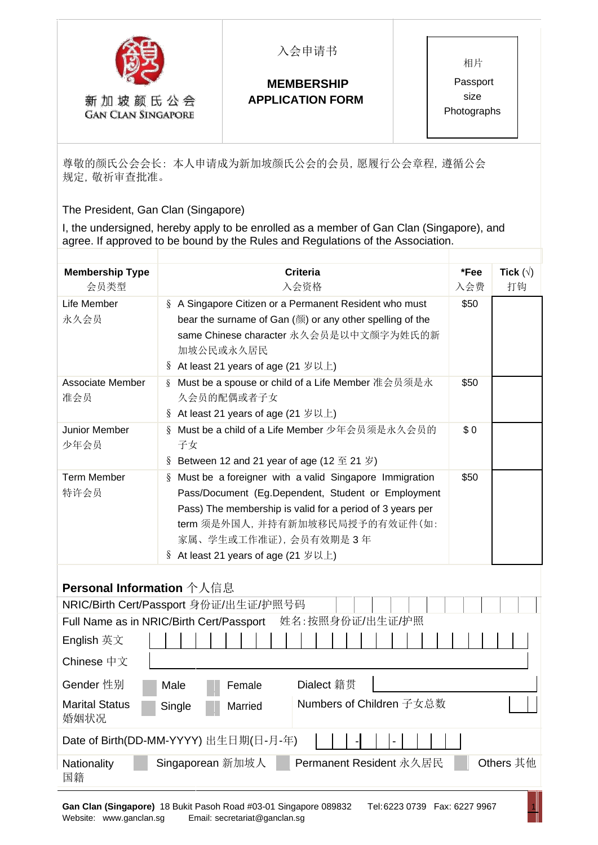

新加坡颜氏公会 **GAN CLAN SINGAPORE**  入会申请书

## **MEMBERSHIP APPLICATION FORM**

相片 Passport size Photographs

尊敬的颜氏公会会长: 本人申请成为新加坡颜氏公会的会员,愿履行公会章程,遵循公会 规定,敬祈审查批准。

The President, Gan Clan (Singapore)

I, the undersigned, hereby apply to be enrolled as a member of Gan Clan (Singapore), and agree. If approved to be bound by the Rules and Regulations of the Association.

| <b>Membership Type</b><br>会员类型          | <b>Criteria</b><br>入会资格                                                                                                                                                                                                                                                              | *Fee<br>入会费 | Tick $(\forall)$<br>打钩 |
|-----------------------------------------|--------------------------------------------------------------------------------------------------------------------------------------------------------------------------------------------------------------------------------------------------------------------------------------|-------------|------------------------|
| Life Member<br>永久会员                     | § A Singapore Citizen or a Permanent Resident who must<br>bear the surname of Gan (颜) or any other spelling of the<br>same Chinese character 永久会员是以中文颜字为姓氏的新<br>加坡公民或永久居民<br>§ At least 21 years of age (21 岁以上)                                                                     | \$50        |                        |
| Associate Member<br>准会员                 | Must be a spouse or child of a Life Member 准会员须是永<br>$\delta$<br>久会员的配偶或者子女<br>§ At least 21 years of age (21 岁以上)                                                                                                                                                                   | \$50        |                        |
| Junior Member<br>少年会员                   | Must be a child of a Life Member 少年会员须是永久会员的<br>$\delta$<br>子女<br>§ Between 12 and 21 year of age (12 至 21 岁)                                                                                                                                                                        | \$0         |                        |
| <b>Term Member</b><br>特许会员              | Must be a foreigner with a valid Singapore Immigration<br>$\S$<br>Pass/Document (Eg.Dependent, Student or Employment<br>Pass) The membership is valid for a period of 3 years per<br>term 须是外国人, 并持有新加坡移民局授予的有效证件(如:<br>家属、学生或工作准证), 会员有效期是3年<br>§ At least 21 years of age (21 岁以上) | \$50        |                        |
| Personal Information 个人信息<br>English 英文 | NRIC/Birth Cert/Passport 身份证/出生证/护照号码<br>姓名:按照身份证/出生证/护照<br>Full Name as in NRIC/Birth Cert/Passport                                                                                                                                                                                 |             |                        |
| Chinese 中文                              |                                                                                                                                                                                                                                                                                      |             |                        |
| Gender 性别                               | Dialect 籍贯<br>Female<br>Male                                                                                                                                                                                                                                                         |             |                        |
| <b>Marital Status</b><br>婚姻状况           | Numbers of Children 子女总数<br>Single<br>Married                                                                                                                                                                                                                                        |             |                        |
|                                         | Date of Birth(DD-MM-YYYY) 出生日期(日-月-年)                                                                                                                                                                                                                                                |             |                        |
| Nationality<br>国籍                       | Singaporean 新加坡人<br>Permanent Resident 永久居民                                                                                                                                                                                                                                          |             | Others 其他              |